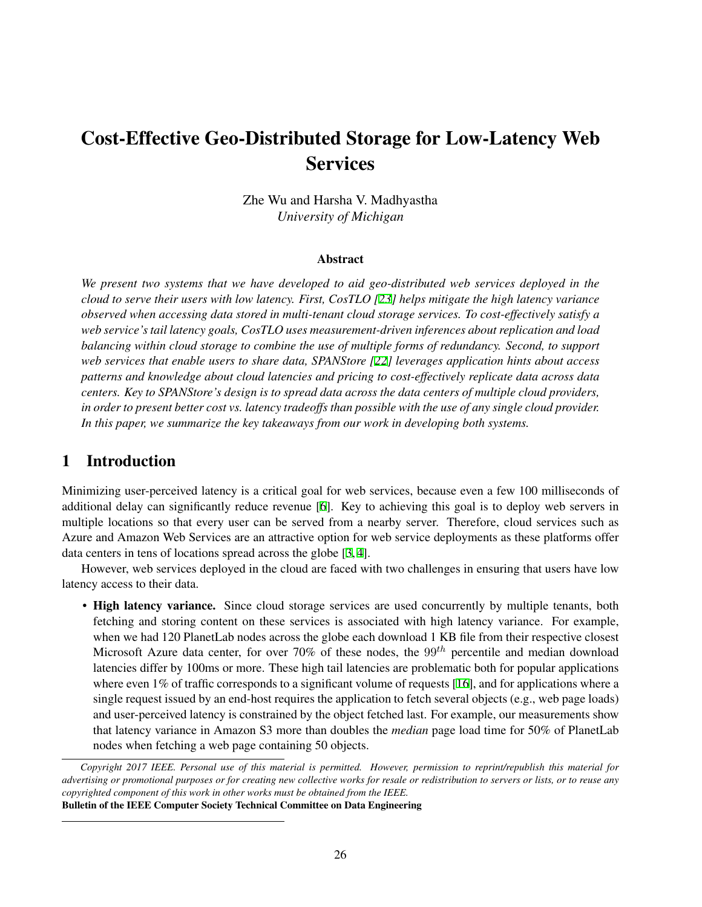# Cost-Effective Geo-Distributed Storage for Low-Latency Web Services

Zhe Wu and Harsha V. Madhyastha *University of Michigan*

#### Abstract

*We present two systems that we have developed to aid geo-distributed web services deployed in the cloud to serve their users with low latency. First, CosTLO [[23](#page-14-0)] helps mitigate the high latency variance observed when accessing data stored in multi-tenant cloud storage services. To cost-effectively satisfy a web service's tail latency goals, CosTLO uses measurement-driven inferences about replication and load balancing within cloud storage to combine the use of multiple forms of redundancy. Second, to support web services that enable users to share data, SPANStore [[22\]](#page-14-1) leverages application hints about access patterns and knowledge about cloud latencies and pricing to cost-effectively replicate data across data centers. Key to SPANStore's design is to spread data across the data centers of multiple cloud providers, in order to present better cost vs. latency tradeoffs than possible with the use of any single cloud provider. In this paper, we summarize the key takeaways from our work in developing both systems.*

## 1 Introduction

Minimizing user-perceived latency is a critical goal for web services, because even a few 100 milliseconds of additional delay can significantly reduce revenue [\[6\]](#page-14-2). Key to achieving this goal is to deploy web servers in multiple locations so that every user can be served from a nearby server. Therefore, cloud services such as Azure and Amazon Web Services are an attractive option for web service deployments as these platforms offer data centers in tens of locations spread across the globe [[3](#page-14-3), [4\]](#page-14-4).

However, web services deployed in the cloud are faced with two challenges in ensuring that users have low latency access to their data.

• High latency variance. Since cloud storage services are used concurrently by multiple tenants, both fetching and storing content on these services is associated with high latency variance. For example, when we had 120 PlanetLab nodes across the globe each download 1 KB file from their respective closest Microsoft Azure data center, for over 70% of these nodes, the 99*th* percentile and median download latencies differ by 100ms or more. These high tail latencies are problematic both for popular applications where even 1% of traffic corresponds to a significant volume of requests [\[16](#page-14-5)], and for applications where a single request issued by an end-host requires the application to fetch several objects (e.g., web page loads) and user-perceived latency is constrained by the object fetched last. For example, our measurements show that latency variance in Amazon S3 more than doubles the *median* page load time for 50% of PlanetLab nodes when fetching a web page containing 50 objects.

```
Bulletin of the IEEE Computer Society Technical Committee on Data Engineering
```
*Copyright 2017 IEEE. Personal use of this material is permitted. However, permission to reprint/republish this material for advertising or promotional purposes or for creating new collective works for resale or redistribution to servers or lists, or to reuse any copyrighted component of this work in other works must be obtained from the IEEE.*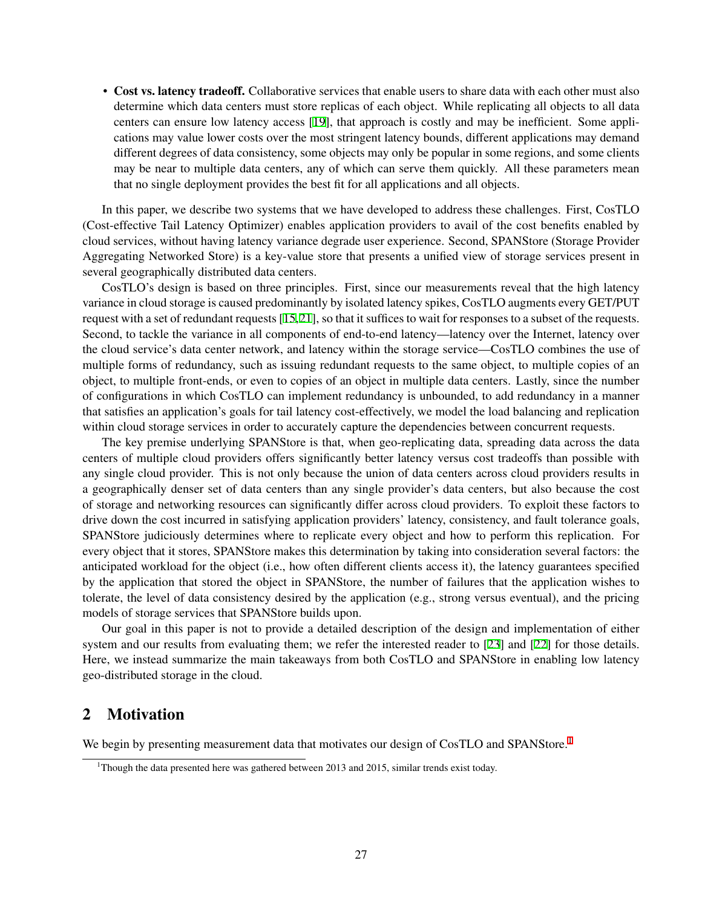• Cost vs. latency tradeoff. Collaborative services that enable users to share data with each other must also determine which data centers must store replicas of each object. While replicating all objects to all data centers can ensure low latency access [\[19\]](#page-14-6), that approach is costly and may be inefficient. Some applications may value lower costs over the most stringent latency bounds, different applications may demand different degrees of data consistency, some objects may only be popular in some regions, and some clients may be near to multiple data centers, any of which can serve them quickly. All these parameters mean that no single deployment provides the best fit for all applications and all objects.

In this paper, we describe two systems that we have developed to address these challenges. First, CosTLO (Cost-effective Tail Latency Optimizer) enables application providers to avail of the cost benefits enabled by cloud services, without having latency variance degrade user experience. Second, SPANStore (Storage Provider Aggregating Networked Store) is a key-value store that presents a unified view of storage services present in several geographically distributed data centers.

CosTLO's design is based on three principles. First, since our measurements reveal that the high latency variance in cloud storage is caused predominantly by isolated latency spikes, CosTLO augments every GET/PUT request with a set of redundant requests [\[15](#page-14-7),[21](#page-14-8)], so that it suffices to wait for responses to a subset of the requests. Second, to tackle the variance in all components of end-to-end latency—latency over the Internet, latency over the cloud service's data center network, and latency within the storage service—CosTLO combines the use of multiple forms of redundancy, such as issuing redundant requests to the same object, to multiple copies of an object, to multiple front-ends, or even to copies of an object in multiple data centers. Lastly, since the number of configurations in which CosTLO can implement redundancy is unbounded, to add redundancy in a manner that satisfies an application's goals for tail latency cost-effectively, we model the load balancing and replication within cloud storage services in order to accurately capture the dependencies between concurrent requests.

The key premise underlying SPANStore is that, when geo-replicating data, spreading data across the data centers of multiple cloud providers offers significantly better latency versus cost tradeoffs than possible with any single cloud provider. This is not only because the union of data centers across cloud providers results in a geographically denser set of data centers than any single provider's data centers, but also because the cost of storage and networking resources can significantly differ across cloud providers. To exploit these factors to drive down the cost incurred in satisfying application providers' latency, consistency, and fault tolerance goals, SPANStore judiciously determines where to replicate every object and how to perform this replication. For every object that it stores, SPANStore makes this determination by taking into consideration several factors: the anticipated workload for the object (i.e., how often different clients access it), the latency guarantees specified by the application that stored the object in SPANStore, the number of failures that the application wishes to tolerate, the level of data consistency desired by the application (e.g., strong versus eventual), and the pricing models of storage services that SPANStore builds upon.

Our goal in this paper is not to provide a detailed description of the design and implementation of either system and our results from evaluating them; we refer the interested reader to [\[23](#page-14-0)] and [\[22](#page-14-1)] for those details. Here, we instead summarize the main takeaways from both CosTLO and SPANStore in enabling low latency geo-distributed storage in the cloud.

### <span id="page-1-1"></span>2 Motivation

We begin by presenting measurement data that motivates our design of CosTLO and SPANStore.<sup>[1](#page-1-0)</sup>

<span id="page-1-0"></span><sup>&</sup>lt;sup>1</sup>Though the data presented here was gathered between 2013 and 2015, similar trends exist today.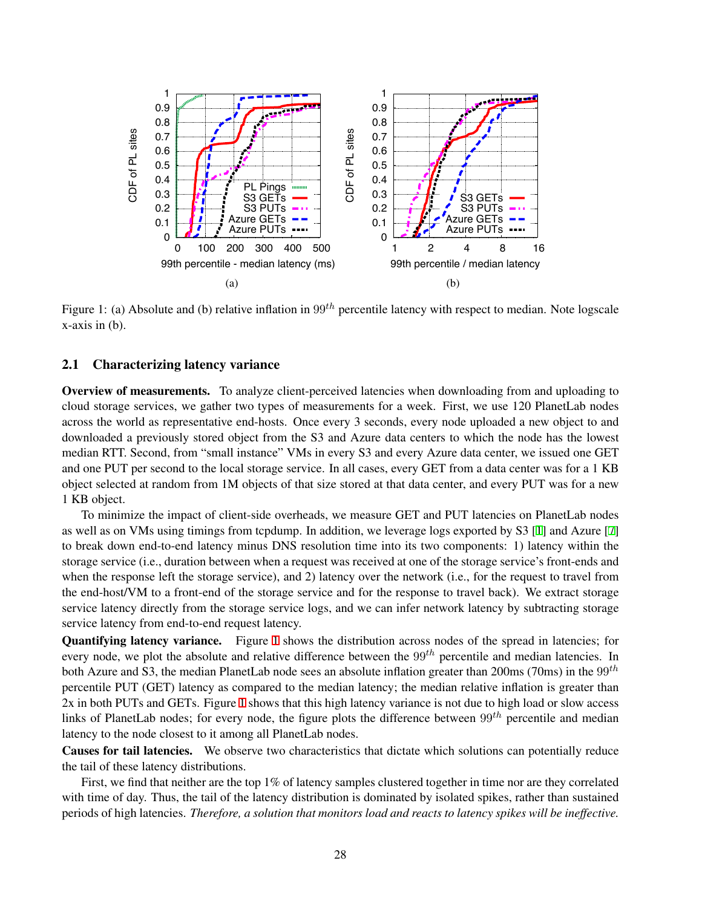<span id="page-2-0"></span>

Figure 1: (a) Absolute and (b) relative inflation in 99*th* percentile latency with respect to median. Note logscale x-axis in (b).

### 2.1 Characterizing latency variance

Overview of measurements. To analyze client-perceived latencies when downloading from and uploading to cloud storage services, we gather two types of measurements for a week. First, we use 120 PlanetLab nodes across the world as representative end-hosts. Once every 3 seconds, every node uploaded a new object to and downloaded a previously stored object from the S3 and Azure data centers to which the node has the lowest median RTT. Second, from "small instance" VMs in every S3 and every Azure data center, we issued one GET and one PUT per second to the local storage service. In all cases, every GET from a data center was for a 1 KB object selected at random from 1M objects of that size stored at that data center, and every PUT was for a new 1 KB object.

To minimize the impact of client-side overheads, we measure GET and PUT latencies on PlanetLab nodes as well as on VMs using timings from tcpdump. In addition, we leverage logs exported by S3 [[1](#page-14-9)] and Azure [[7](#page-14-10)] to break down end-to-end latency minus DNS resolution time into its two components: 1) latency within the storage service (i.e., duration between when a request was received at one of the storage service's front-ends and when the response left the storage service), and 2) latency over the network (i.e., for the request to travel from the end-host/VM to a front-end of the storage service and for the response to travel back). We extract storage service latency directly from the storage service logs, and we can infer network latency by subtracting storage service latency from end-to-end request latency.

Quantifying latency variance. Figure [1](#page-2-0) shows the distribution across nodes of the spread in latencies; for every node, we plot the absolute and relative difference between the 99*th* percentile and median latencies. In both Azure and S3, the median PlanetLab node sees an absolute inflation greater than 200ms (70ms) in the 99*th* percentile PUT (GET) latency as compared to the median latency; the median relative inflation is greater than 2x in both PUTs and GETs. Figure [1](#page-2-0) shows that this high latency variance is not due to high load or slow access links of PlanetLab nodes; for every node, the figure plots the difference between 99*th* percentile and median latency to the node closest to it among all PlanetLab nodes.

Causes for tail latencies. We observe two characteristics that dictate which solutions can potentially reduce the tail of these latency distributions.

First, we find that neither are the top 1% of latency samples clustered together in time nor are they correlated with time of day. Thus, the tail of the latency distribution is dominated by isolated spikes, rather than sustained periods of high latencies. *Therefore, a solution that monitors load and reacts to latency spikes will be ineffective.*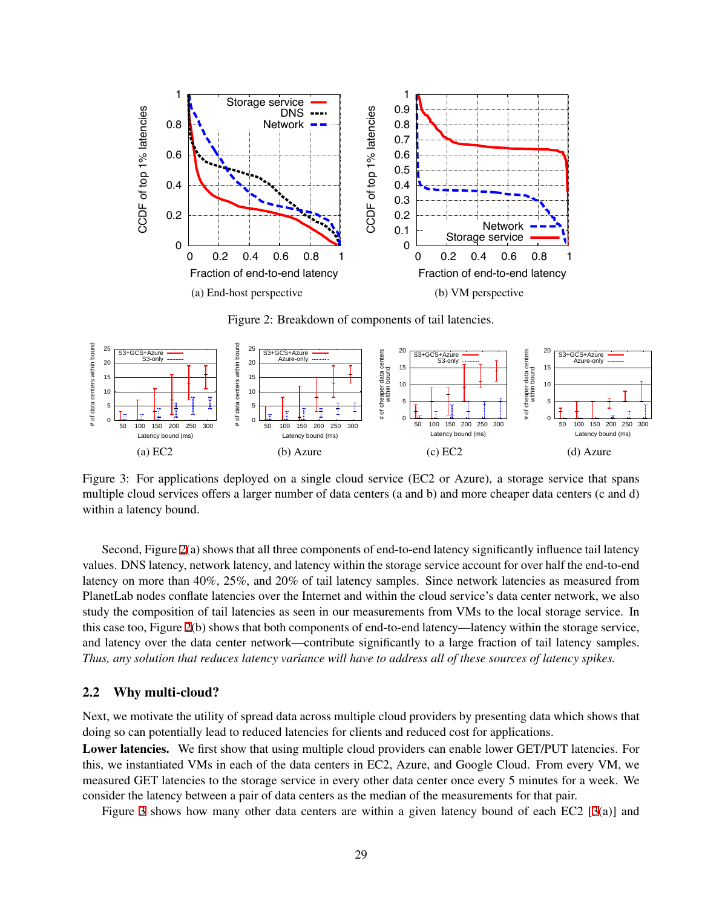<span id="page-3-0"></span>

Figure 2: Breakdown of components of tail latencies.

<span id="page-3-1"></span>

Figure 3: For applications deployed on a single cloud service (EC2 or Azure), a storage service that spans multiple cloud services offers a larger number of data centers (a and b) and more cheaper data centers (c and d) within a latency bound.

Second, Figure [2](#page-3-0)(a) shows that all three components of end-to-end latency significantly influence tail latency values. DNS latency, network latency, and latency within the storage service account for over half the end-to-end latency on more than 40%, 25%, and 20% of tail latency samples. Since network latencies as measured from PlanetLab nodes conflate latencies over the Internet and within the cloud service's data center network, we also study the composition of tail latencies as seen in our measurements from VMs to the local storage service. In this case too, Figure [2\(](#page-3-0)b) shows that both components of end-to-end latency—latency within the storage service, and latency over the data center network—contribute significantly to a large fraction of tail latency samples. *Thus, any solution that reduces latency variance will have to address all of these sources of latency spikes.*

### 2.2 Why multi-cloud?

Next, we motivate the utility of spread data across multiple cloud providers by presenting data which shows that doing so can potentially lead to reduced latencies for clients and reduced cost for applications.

Lower latencies. We first show that using multiple cloud providers can enable lower GET/PUT latencies. For this, we instantiated VMs in each of the data centers in EC2, Azure, and Google Cloud. From every VM, we measured GET latencies to the storage service in every other data center once every 5 minutes for a week. We consider the latency between a pair of data centers as the median of the measurements for that pair.

Figure [3](#page-3-1) shows how many other data centers are within a given latency bound of each EC2 [[3](#page-3-1)(a)] and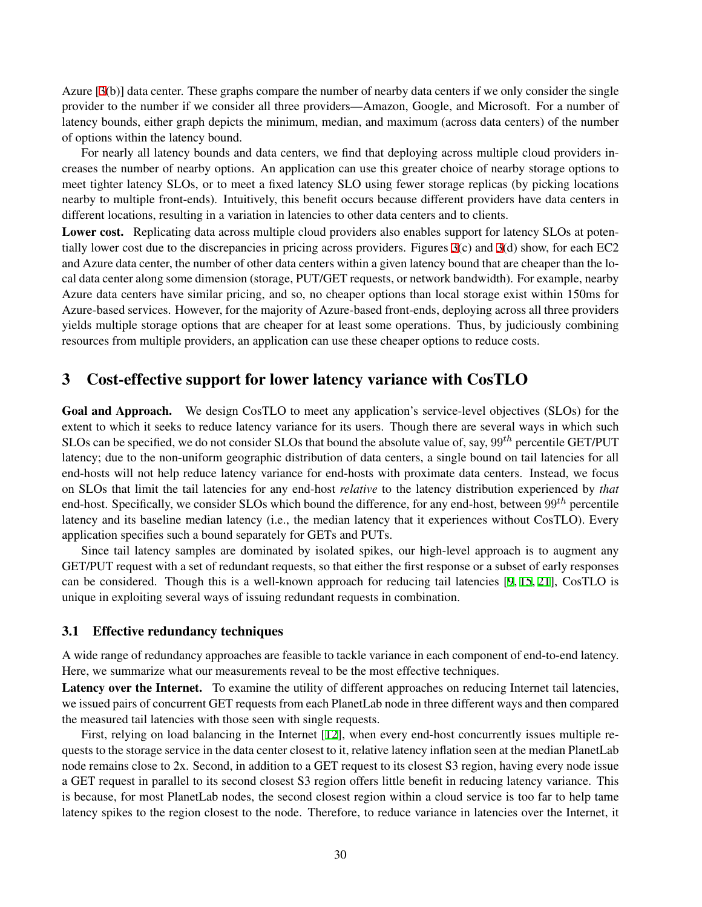Azure [[3](#page-3-1)(b)] data center. These graphs compare the number of nearby data centers if we only consider the single provider to the number if we consider all three providers—Amazon, Google, and Microsoft. For a number of latency bounds, either graph depicts the minimum, median, and maximum (across data centers) of the number of options within the latency bound.

For nearly all latency bounds and data centers, we find that deploying across multiple cloud providers increases the number of nearby options. An application can use this greater choice of nearby storage options to meet tighter latency SLOs, or to meet a fixed latency SLO using fewer storage replicas (by picking locations nearby to multiple front-ends). Intuitively, this benefit occurs because different providers have data centers in different locations, resulting in a variation in latencies to other data centers and to clients.

Lower cost. Replicating data across multiple cloud providers also enables support for latency SLOs at potentially lower cost due to the discrepancies in pricing across providers. Figures [3\(](#page-3-1)c) and [3\(](#page-3-1)d) show, for each EC2 and Azure data center, the number of other data centers within a given latency bound that are cheaper than the local data center along some dimension (storage, PUT/GET requests, or network bandwidth). For example, nearby Azure data centers have similar pricing, and so, no cheaper options than local storage exist within 150ms for Azure-based services. However, for the majority of Azure-based front-ends, deploying across all three providers yields multiple storage options that are cheaper for at least some operations. Thus, by judiciously combining resources from multiple providers, an application can use these cheaper options to reduce costs.

### 3 Cost-effective support for lower latency variance with CosTLO

Goal and Approach. We design CosTLO to meet any application's service-level objectives (SLOs) for the extent to which it seeks to reduce latency variance for its users. Though there are several ways in which such SLOs can be specified, we do not consider SLOs that bound the absolute value of, say, 99*th* percentile GET/PUT latency; due to the non-uniform geographic distribution of data centers, a single bound on tail latencies for all end-hosts will not help reduce latency variance for end-hosts with proximate data centers. Instead, we focus on SLOs that limit the tail latencies for any end-host *relative* to the latency distribution experienced by *that* end-host. Specifically, we consider SLOs which bound the difference, for any end-host, between 99*th* percentile latency and its baseline median latency (i.e., the median latency that it experiences without CosTLO). Every application specifies such a bound separately for GETs and PUTs.

Since tail latency samples are dominated by isolated spikes, our high-level approach is to augment any GET/PUT request with a set of redundant requests, so that either the first response or a subset of early responses can be considered. Though this is a well-known approach for reducing tail latencies [\[9,](#page-14-11) [15](#page-14-7), [21](#page-14-8)], CosTLO is unique in exploiting several ways of issuing redundant requests in combination.

### 3.1 Effective redundancy techniques

A wide range of redundancy approaches are feasible to tackle variance in each component of end-to-end latency. Here, we summarize what our measurements reveal to be the most effective techniques.

Latency over the Internet. To examine the utility of different approaches on reducing Internet tail latencies, we issued pairs of concurrent GET requests from each PlanetLab node in three different ways and then compared the measured tail latencies with those seen with single requests.

First, relying on load balancing in the Internet [[12\]](#page-14-12), when every end-host concurrently issues multiple requests to the storage service in the data center closest to it, relative latency inflation seen at the median PlanetLab node remains close to 2x. Second, in addition to a GET request to its closest S3 region, having every node issue a GET request in parallel to its second closest S3 region offers little benefit in reducing latency variance. This is because, for most PlanetLab nodes, the second closest region within a cloud service is too far to help tame latency spikes to the region closest to the node. Therefore, to reduce variance in latencies over the Internet, it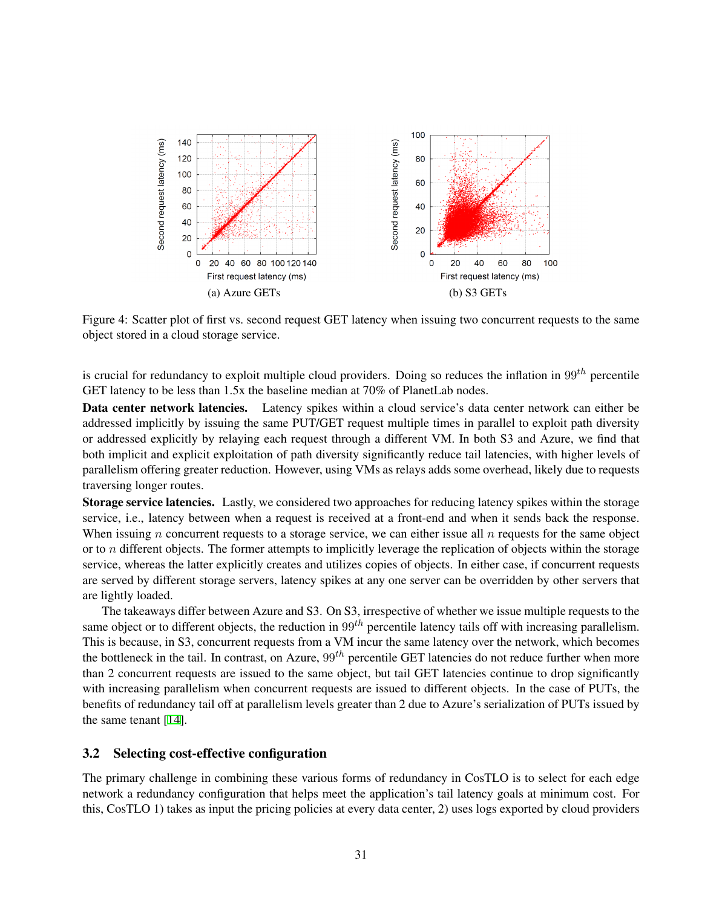<span id="page-5-0"></span>

Figure 4: Scatter plot of first vs. second request GET latency when issuing two concurrent requests to the same object stored in a cloud storage service.

is crucial for redundancy to exploit multiple cloud providers. Doing so reduces the inflation in 99*th* percentile GET latency to be less than 1.5x the baseline median at 70% of PlanetLab nodes.

Data center network latencies. Latency spikes within a cloud service's data center network can either be addressed implicitly by issuing the same PUT/GET request multiple times in parallel to exploit path diversity or addressed explicitly by relaying each request through a different VM. In both S3 and Azure, we find that both implicit and explicit exploitation of path diversity significantly reduce tail latencies, with higher levels of parallelism offering greater reduction. However, using VMs as relays adds some overhead, likely due to requests traversing longer routes.

Storage service latencies. Lastly, we considered two approaches for reducing latency spikes within the storage service, i.e., latency between when a request is received at a front-end and when it sends back the response. When issuing *n* concurrent requests to a storage service, we can either issue all *n* requests for the same object or to *n* different objects. The former attempts to implicitly leverage the replication of objects within the storage service, whereas the latter explicitly creates and utilizes copies of objects. In either case, if concurrent requests are served by different storage servers, latency spikes at any one server can be overridden by other servers that are lightly loaded.

The takeaways differ between Azure and S3. On S3, irrespective of whether we issue multiple requests to the same object or to different objects, the reduction in 99*th* percentile latency tails off with increasing parallelism. This is because, in S3, concurrent requests from a VM incur the same latency over the network, which becomes the bottleneck in the tail. In contrast, on Azure, 99*th* percentile GET latencies do not reduce further when more than 2 concurrent requests are issued to the same object, but tail GET latencies continue to drop significantly with increasing parallelism when concurrent requests are issued to different objects. In the case of PUTs, the benefits of redundancy tail off at parallelism levels greater than 2 due to Azure's serialization of PUTs issued by the same tenant [\[14](#page-14-13)].

### 3.2 Selecting cost-effective configuration

The primary challenge in combining these various forms of redundancy in CosTLO is to select for each edge network a redundancy configuration that helps meet the application's tail latency goals at minimum cost. For this, CosTLO 1) takes as input the pricing policies at every data center, 2) uses logs exported by cloud providers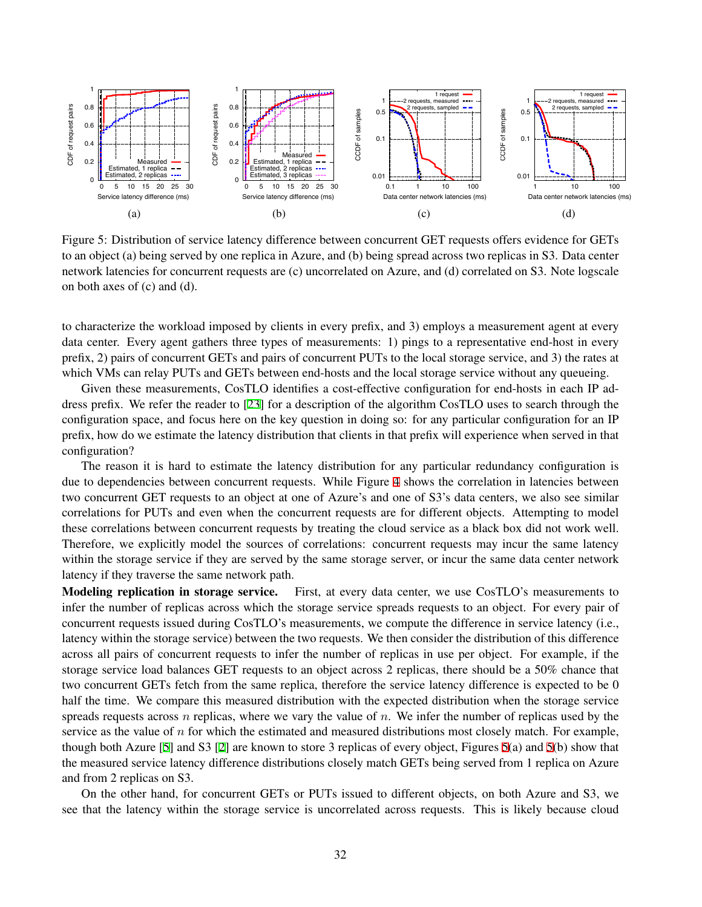<span id="page-6-0"></span>

Figure 5: Distribution of service latency difference between concurrent GET requests offers evidence for GETs to an object (a) being served by one replica in Azure, and (b) being spread across two replicas in S3. Data center network latencies for concurrent requests are (c) uncorrelated on Azure, and (d) correlated on S3. Note logscale on both axes of (c) and (d).

to characterize the workload imposed by clients in every prefix, and 3) employs a measurement agent at every data center. Every agent gathers three types of measurements: 1) pings to a representative end-host in every prefix, 2) pairs of concurrent GETs and pairs of concurrent PUTs to the local storage service, and 3) the rates at which VMs can relay PUTs and GETs between end-hosts and the local storage service without any queueing.

Given these measurements, CosTLO identifies a cost-effective configuration for end-hosts in each IP address prefix. We refer the reader to [[23\]](#page-14-0) for a description of the algorithm CosTLO uses to search through the configuration space, and focus here on the key question in doing so: for any particular configuration for an IP prefix, how do we estimate the latency distribution that clients in that prefix will experience when served in that configuration?

The reason it is hard to estimate the latency distribution for any particular redundancy configuration is due to dependencies between concurrent requests. While Figure [4](#page-5-0) shows the correlation in latencies between two concurrent GET requests to an object at one of Azure's and one of S3's data centers, we also see similar correlations for PUTs and even when the concurrent requests are for different objects. Attempting to model these correlations between concurrent requests by treating the cloud service as a black box did not work well. Therefore, we explicitly model the sources of correlations: concurrent requests may incur the same latency within the storage service if they are served by the same storage server, or incur the same data center network latency if they traverse the same network path.

Modeling replication in storage service. First, at every data center, we use CosTLO's measurements to infer the number of replicas across which the storage service spreads requests to an object. For every pair of concurrent requests issued during CosTLO's measurements, we compute the difference in service latency (i.e., latency within the storage service) between the two requests. We then consider the distribution of this difference across all pairs of concurrent requests to infer the number of replicas in use per object. For example, if the storage service load balances GET requests to an object across 2 replicas, there should be a 50% chance that two concurrent GETs fetch from the same replica, therefore the service latency difference is expected to be 0 half the time. We compare this measured distribution with the expected distribution when the storage service spreads requests across *n* replicas, where we vary the value of *n*. We infer the number of replicas used by the service as the value of *n* for which the estimated and measured distributions most closely match. For example, though both Azure [\[5\]](#page-14-14) and S3 [[2](#page-14-15)] are known to store 3 replicas of every object, Figures [5\(](#page-6-0)a) and [5](#page-6-0)(b) show that the measured service latency difference distributions closely match GETs being served from 1 replica on Azure and from 2 replicas on S3.

On the other hand, for concurrent GETs or PUTs issued to different objects, on both Azure and S3, we see that the latency within the storage service is uncorrelated across requests. This is likely because cloud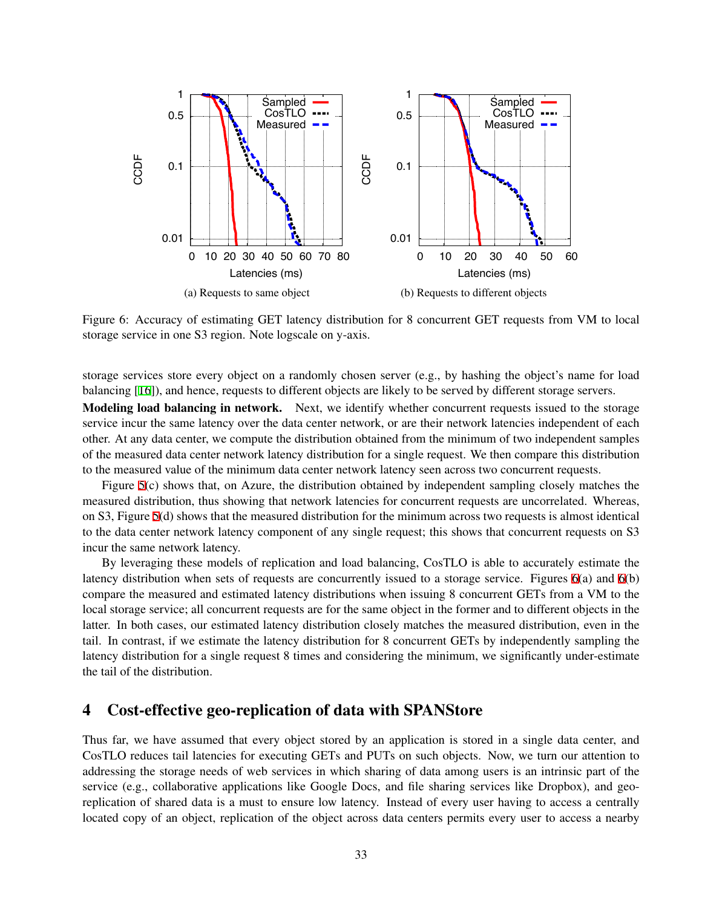<span id="page-7-0"></span>

Figure 6: Accuracy of estimating GET latency distribution for 8 concurrent GET requests from VM to local storage service in one S3 region. Note logscale on y-axis.

storage services store every object on a randomly chosen server (e.g., by hashing the object's name for load balancing [[16\]](#page-14-5)), and hence, requests to different objects are likely to be served by different storage servers.

Modeling load balancing in network. Next, we identify whether concurrent requests issued to the storage service incur the same latency over the data center network, or are their network latencies independent of each other. At any data center, we compute the distribution obtained from the minimum of two independent samples of the measured data center network latency distribution for a single request. We then compare this distribution to the measured value of the minimum data center network latency seen across two concurrent requests.

Figure [5\(](#page-6-0)c) shows that, on Azure, the distribution obtained by independent sampling closely matches the measured distribution, thus showing that network latencies for concurrent requests are uncorrelated. Whereas, on S3, Figure [5\(](#page-6-0)d) shows that the measured distribution for the minimum across two requests is almost identical to the data center network latency component of any single request; this shows that concurrent requests on S3 incur the same network latency.

By leveraging these models of replication and load balancing, CosTLO is able to accurately estimate the latency distribution when sets of requests are concurrently issued to a storage service. Figures [6\(](#page-7-0)a) and [6](#page-7-0)(b) compare the measured and estimated latency distributions when issuing 8 concurrent GETs from a VM to the local storage service; all concurrent requests are for the same object in the former and to different objects in the latter. In both cases, our estimated latency distribution closely matches the measured distribution, even in the tail. In contrast, if we estimate the latency distribution for 8 concurrent GETs by independently sampling the latency distribution for a single request 8 times and considering the minimum, we significantly under-estimate the tail of the distribution.

### 4 Cost-effective geo-replication of data with SPANStore

Thus far, we have assumed that every object stored by an application is stored in a single data center, and CosTLO reduces tail latencies for executing GETs and PUTs on such objects. Now, we turn our attention to addressing the storage needs of web services in which sharing of data among users is an intrinsic part of the service (e.g., collaborative applications like Google Docs, and file sharing services like Dropbox), and georeplication of shared data is a must to ensure low latency. Instead of every user having to access a centrally located copy of an object, replication of the object across data centers permits every user to access a nearby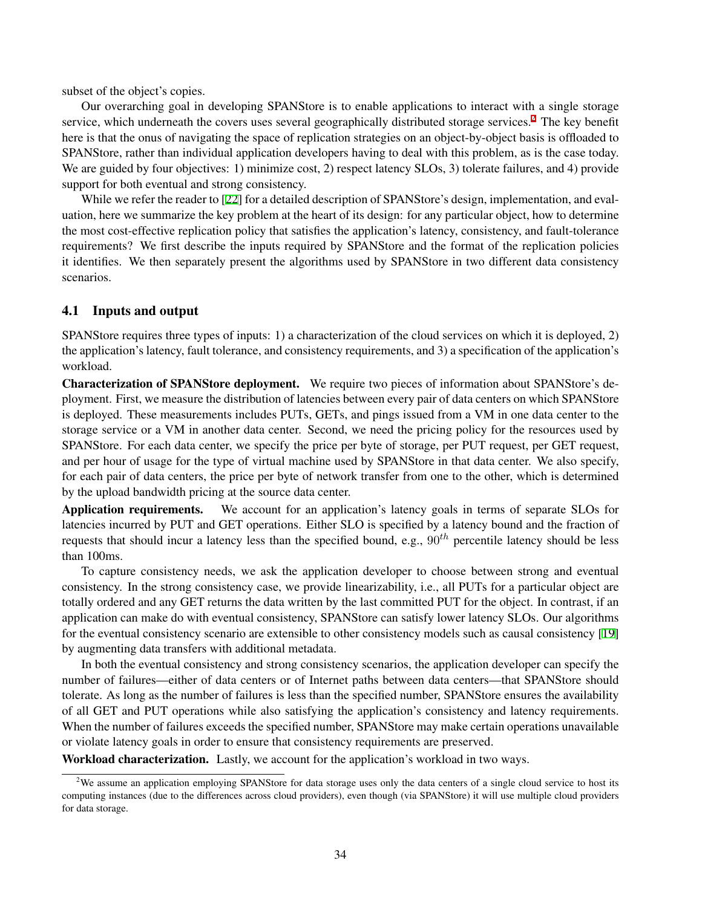subset of the object's copies.

Our overarching goal in developing SPANStore is to enable applications to interact with a single storage service, which underneath the covers uses several geographically distributed storage services.<sup>[2](#page-8-0)</sup> The key benefit here is that the onus of navigating the space of replication strategies on an object-by-object basis is offloaded to SPANStore, rather than individual application developers having to deal with this problem, as is the case today. We are guided by four objectives: 1) minimize cost, 2) respect latency SLOs, 3) tolerate failures, and 4) provide support for both eventual and strong consistency.

While we refer the reader to [[22\]](#page-14-1) for a detailed description of SPANStore's design, implementation, and evaluation, here we summarize the key problem at the heart of its design: for any particular object, how to determine the most cost-effective replication policy that satisfies the application's latency, consistency, and fault-tolerance requirements? We first describe the inputs required by SPANStore and the format of the replication policies it identifies. We then separately present the algorithms used by SPANStore in two different data consistency scenarios.

#### 4.1 Inputs and output

SPANStore requires three types of inputs: 1) a characterization of the cloud services on which it is deployed, 2) the application's latency, fault tolerance, and consistency requirements, and 3) a specification of the application's workload.

Characterization of SPANStore deployment. We require two pieces of information about SPANStore's deployment. First, we measure the distribution of latencies between every pair of data centers on which SPANStore is deployed. These measurements includes PUTs, GETs, and pings issued from a VM in one data center to the storage service or a VM in another data center. Second, we need the pricing policy for the resources used by SPANStore. For each data center, we specify the price per byte of storage, per PUT request, per GET request, and per hour of usage for the type of virtual machine used by SPANStore in that data center. We also specify, for each pair of data centers, the price per byte of network transfer from one to the other, which is determined by the upload bandwidth pricing at the source data center.

Application requirements. We account for an application's latency goals in terms of separate SLOs for latencies incurred by PUT and GET operations. Either SLO is specified by a latency bound and the fraction of requests that should incur a latency less than the specified bound, e.g., 90*th* percentile latency should be less than 100ms.

To capture consistency needs, we ask the application developer to choose between strong and eventual consistency. In the strong consistency case, we provide linearizability, i.e., all PUTs for a particular object are totally ordered and any GET returns the data written by the last committed PUT for the object. In contrast, if an application can make do with eventual consistency, SPANStore can satisfy lower latency SLOs. Our algorithms for the eventual consistency scenario are extensible to other consistency models such as causal consistency [\[19](#page-14-6)] by augmenting data transfers with additional metadata.

In both the eventual consistency and strong consistency scenarios, the application developer can specify the number of failures—either of data centers or of Internet paths between data centers—that SPANStore should tolerate. As long as the number of failures is less than the specified number, SPANStore ensures the availability of all GET and PUT operations while also satisfying the application's consistency and latency requirements. When the number of failures exceeds the specified number, SPANStore may make certain operations unavailable or violate latency goals in order to ensure that consistency requirements are preserved.

Workload characterization. Lastly, we account for the application's workload in two ways.

<span id="page-8-0"></span><sup>&</sup>lt;sup>2</sup>We assume an application employing SPANStore for data storage uses only the data centers of a single cloud service to host its computing instances (due to the differences across cloud providers), even though (via SPANStore) it will use multiple cloud providers for data storage.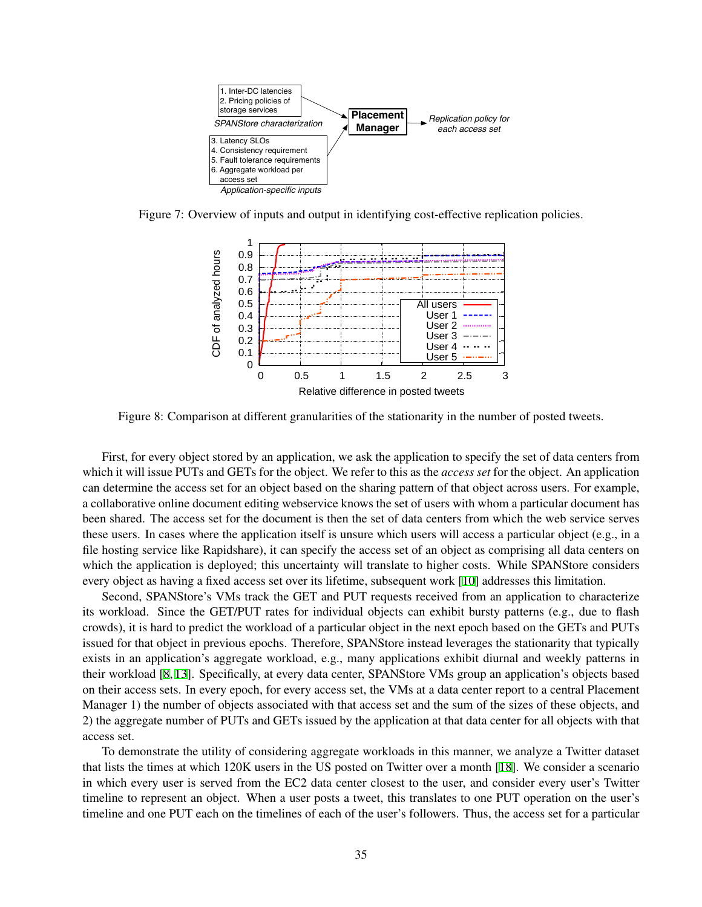

<span id="page-9-0"></span>Figure 7: Overview of inputs and output in identifying cost-effective replication policies.



Figure 8: Comparison at different granularities of the stationarity in the number of posted tweets.

First, for every object stored by an application, we ask the application to specify the set of data centers from which it will issue PUTs and GETs for the object. We refer to this as the *access set* for the object. An application can determine the access set for an object based on the sharing pattern of that object across users. For example, a collaborative online document editing webservice knows the set of users with whom a particular document has been shared. The access set for the document is then the set of data centers from which the web service serves these users. In cases where the application itself is unsure which users will access a particular object (e.g., in a file hosting service like Rapidshare), it can specify the access set of an object as comprising all data centers on which the application is deployed; this uncertainty will translate to higher costs. While SPANStore considers every object as having a fixed access set over its lifetime, subsequent work [\[10](#page-14-16)] addresses this limitation.

Second, SPANStore's VMs track the GET and PUT requests received from an application to characterize its workload. Since the GET/PUT rates for individual objects can exhibit bursty patterns (e.g., due to flash crowds), it is hard to predict the workload of a particular object in the next epoch based on the GETs and PUTs issued for that object in previous epochs. Therefore, SPANStore instead leverages the stationarity that typically exists in an application's aggregate workload, e.g., many applications exhibit diurnal and weekly patterns in their workload [[8](#page-14-17), [13](#page-14-18)]. Specifically, at every data center, SPANStore VMs group an application's objects based on their access sets. In every epoch, for every access set, the VMs at a data center report to a central Placement Manager 1) the number of objects associated with that access set and the sum of the sizes of these objects, and 2) the aggregate number of PUTs and GETs issued by the application at that data center for all objects with that access set.

To demonstrate the utility of considering aggregate workloads in this manner, we analyze a Twitter dataset that lists the times at which 120K users in the US posted on Twitter over a month [[18](#page-14-19)]. We consider a scenario in which every user is served from the EC2 data center closest to the user, and consider every user's Twitter timeline to represent an object. When a user posts a tweet, this translates to one PUT operation on the user's timeline and one PUT each on the timelines of each of the user's followers. Thus, the access set for a particular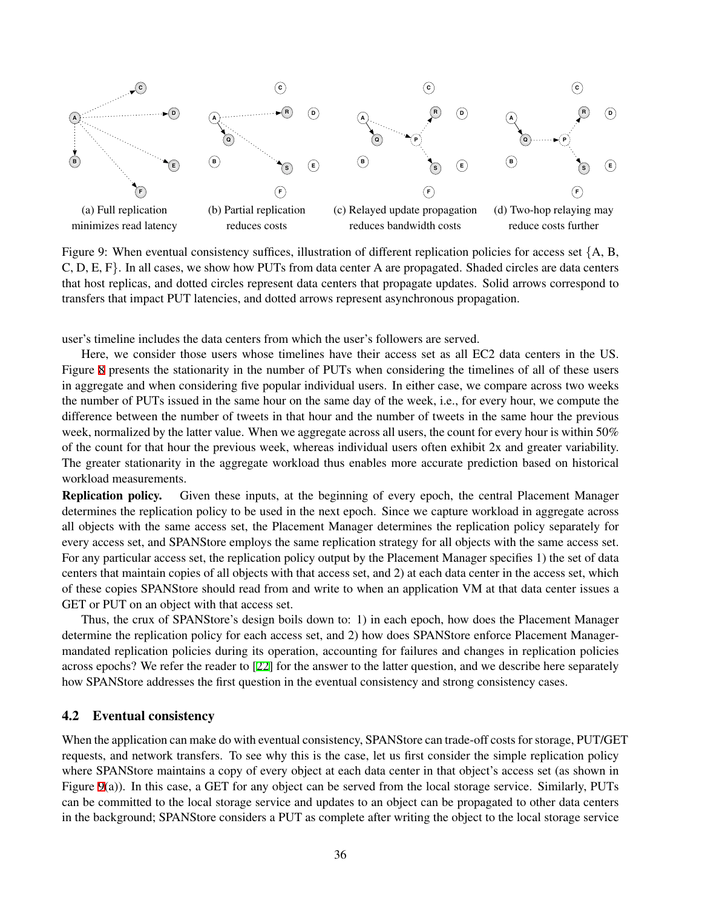<span id="page-10-0"></span>

Figure 9: When eventual consistency suffices, illustration of different replication policies for access set *{*A, B, C, D, E, F*}*. In all cases, we show how PUTs from data center A are propagated. Shaded circles are data centers that host replicas, and dotted circles represent data centers that propagate updates. Solid arrows correspond to transfers that impact PUT latencies, and dotted arrows represent asynchronous propagation.

user's timeline includes the data centers from which the user's followers are served.

Here, we consider those users whose timelines have their access set as all EC2 data centers in the US. Figure [8](#page-9-0) presents the stationarity in the number of PUTs when considering the timelines of all of these users in aggregate and when considering five popular individual users. In either case, we compare across two weeks the number of PUTs issued in the same hour on the same day of the week, i.e., for every hour, we compute the difference between the number of tweets in that hour and the number of tweets in the same hour the previous week, normalized by the latter value. When we aggregate across all users, the count for every hour is within 50% of the count for that hour the previous week, whereas individual users often exhibit 2x and greater variability. The greater stationarity in the aggregate workload thus enables more accurate prediction based on historical workload measurements.

Replication policy. Given these inputs, at the beginning of every epoch, the central Placement Manager determines the replication policy to be used in the next epoch. Since we capture workload in aggregate across all objects with the same access set, the Placement Manager determines the replication policy separately for every access set, and SPANStore employs the same replication strategy for all objects with the same access set. For any particular access set, the replication policy output by the Placement Manager specifies 1) the set of data centers that maintain copies of all objects with that access set, and 2) at each data center in the access set, which of these copies SPANStore should read from and write to when an application VM at that data center issues a GET or PUT on an object with that access set.

Thus, the crux of SPANStore's design boils down to: 1) in each epoch, how does the Placement Manager determine the replication policy for each access set, and 2) how does SPANStore enforce Placement Managermandated replication policies during its operation, accounting for failures and changes in replication policies across epochs? We refer the reader to [[22\]](#page-14-1) for the answer to the latter question, and we describe here separately how SPANStore addresses the first question in the eventual consistency and strong consistency cases.

### 4.2 Eventual consistency

When the application can make do with eventual consistency, SPANStore can trade-off costs for storage, PUT/GET requests, and network transfers. To see why this is the case, let us first consider the simple replication policy where SPANStore maintains a copy of every object at each data center in that object's access set (as shown in Figure [9](#page-10-0)(a)). In this case, a GET for any object can be served from the local storage service. Similarly, PUTs can be committed to the local storage service and updates to an object can be propagated to other data centers in the background; SPANStore considers a PUT as complete after writing the object to the local storage service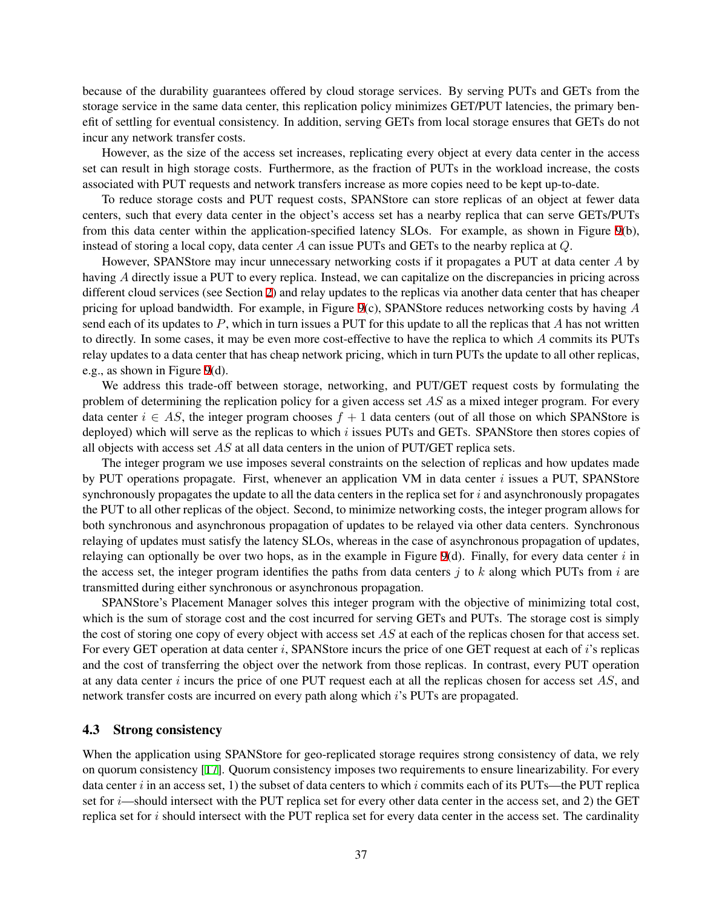because of the durability guarantees offered by cloud storage services. By serving PUTs and GETs from the storage service in the same data center, this replication policy minimizes GET/PUT latencies, the primary benefit of settling for eventual consistency. In addition, serving GETs from local storage ensures that GETs do not incur any network transfer costs.

However, as the size of the access set increases, replicating every object at every data center in the access set can result in high storage costs. Furthermore, as the fraction of PUTs in the workload increase, the costs associated with PUT requests and network transfers increase as more copies need to be kept up-to-date.

To reduce storage costs and PUT request costs, SPANStore can store replicas of an object at fewer data centers, such that every data center in the object's access set has a nearby replica that can serve GETs/PUTs from this data center within the application-specified latency SLOs. For example, as shown in Figure [9\(](#page-10-0)b), instead of storing a local copy, data center *A* can issue PUTs and GETs to the nearby replica at *Q*.

However, SPANStore may incur unnecessary networking costs if it propagates a PUT at data center *A* by having *A* directly issue a PUT to every replica. Instead, we can capitalize on the discrepancies in pricing across different cloud services (see Section [2\)](#page-1-1) and relay updates to the replicas via another data center that has cheaper pricing for upload bandwidth. For example, in Figure [9\(](#page-10-0)c), SPANStore reduces networking costs by having *A* send each of its updates to *P*, which in turn issues a PUT for this update to all the replicas that *A* has not written to directly. In some cases, it may be even more cost-effective to have the replica to which *A* commits its PUTs relay updates to a data center that has cheap network pricing, which in turn PUTs the update to all other replicas, e.g., as shown in Figure [9\(](#page-10-0)d).

We address this trade-off between storage, networking, and PUT/GET request costs by formulating the problem of determining the replication policy for a given access set *AS* as a mixed integer program. For every data center  $i \in AS$ , the integer program chooses  $f + 1$  data centers (out of all those on which SPANStore is deployed) which will serve as the replicas to which *i* issues PUTs and GETs. SPANStore then stores copies of all objects with access set *AS* at all data centers in the union of PUT/GET replica sets.

The integer program we use imposes several constraints on the selection of replicas and how updates made by PUT operations propagate. First, whenever an application VM in data center *i* issues a PUT, SPANStore synchronously propagates the update to all the data centers in the replica set for *i* and asynchronously propagates the PUT to all other replicas of the object. Second, to minimize networking costs, the integer program allows for both synchronous and asynchronous propagation of updates to be relayed via other data centers. Synchronous relaying of updates must satisfy the latency SLOs, whereas in the case of asynchronous propagation of updates, relaying can optionally be over two hops, as in the example in Figure [9](#page-10-0)(d). Finally, for every data center *i* in the access set, the integer program identifies the paths from data centers *j* to *k* along which PUTs from *i* are transmitted during either synchronous or asynchronous propagation.

SPANStore's Placement Manager solves this integer program with the objective of minimizing total cost, which is the sum of storage cost and the cost incurred for serving GETs and PUTs. The storage cost is simply the cost of storing one copy of every object with access set *AS* at each of the replicas chosen for that access set. For every GET operation at data center *i*, SPANStore incurs the price of one GET request at each of *i*'s replicas and the cost of transferring the object over the network from those replicas. In contrast, every PUT operation at any data center *i* incurs the price of one PUT request each at all the replicas chosen for access set *AS*, and network transfer costs are incurred on every path along which *i*'s PUTs are propagated.

### 4.3 Strong consistency

When the application using SPANStore for geo-replicated storage requires strong consistency of data, we rely on quorum consistency [[17\]](#page-14-20). Quorum consistency imposes two requirements to ensure linearizability. For every data center *i* in an access set, 1) the subset of data centers to which *i* commits each of its PUTs—the PUT replica set for *i*—should intersect with the PUT replica set for every other data center in the access set, and 2) the GET replica set for *i* should intersect with the PUT replica set for every data center in the access set. The cardinality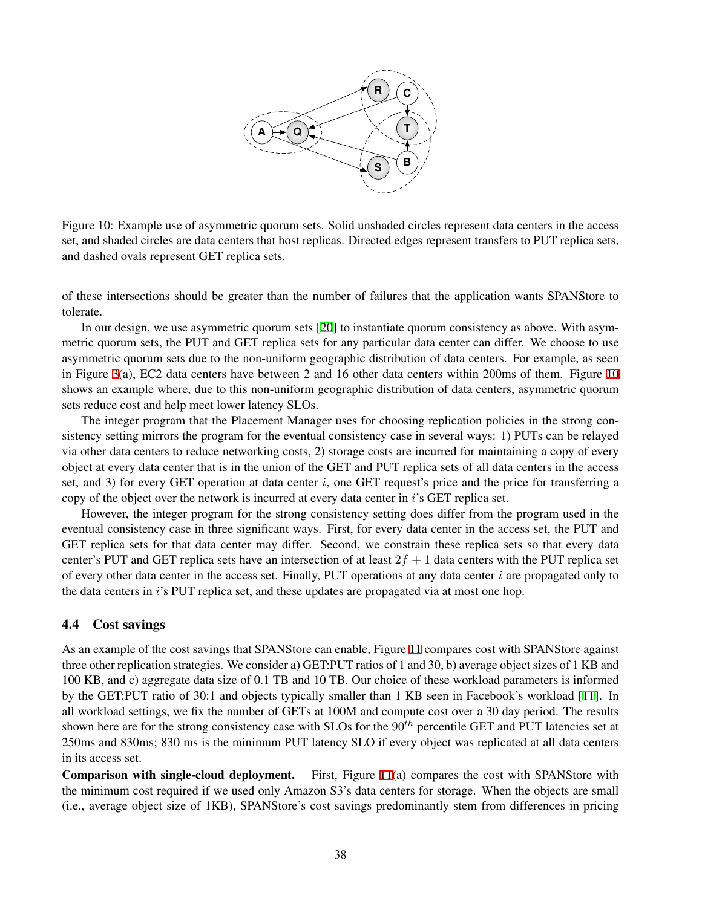

<span id="page-12-0"></span>Figure 10: Example use of asymmetric quorum sets. Solid unshaded circles represent data centers in the access set, and shaded circles are data centers that host replicas. Directed edges represent transfers to PUT replica sets, and dashed ovals represent GET replica sets.

of these intersections should be greater than the number of failures that the application wants SPANStore to tolerate.

In our design, we use asymmetric quorum sets [[20](#page-14-21)] to instantiate quorum consistency as above. With asymmetric quorum sets, the PUT and GET replica sets for any particular data center can differ. We choose to use asymmetric quorum sets due to the non-uniform geographic distribution of data centers. For example, as seen in Figure [3\(](#page-3-1)a), EC2 data centers have between 2 and 16 other data centers within 200ms of them. Figure [10](#page-12-0) shows an example where, due to this non-uniform geographic distribution of data centers, asymmetric quorum sets reduce cost and help meet lower latency SLOs.

The integer program that the Placement Manager uses for choosing replication policies in the strong consistency setting mirrors the program for the eventual consistency case in several ways: 1) PUTs can be relayed via other data centers to reduce networking costs, 2) storage costs are incurred for maintaining a copy of every object at every data center that is in the union of the GET and PUT replica sets of all data centers in the access set, and 3) for every GET operation at data center *i*, one GET request's price and the price for transferring a copy of the object over the network is incurred at every data center in *i*'s GET replica set.

However, the integer program for the strong consistency setting does differ from the program used in the eventual consistency case in three significant ways. First, for every data center in the access set, the PUT and GET replica sets for that data center may differ. Second, we constrain these replica sets so that every data center's PUT and GET replica sets have an intersection of at least  $2f + 1$  data centers with the PUT replica set of every other data center in the access set. Finally, PUT operations at any data center *i* are propagated only to the data centers in *i*'s PUT replica set, and these updates are propagated via at most one hop.

### 4.4 Cost savings

As an example of the cost savings that SPANStore can enable, Figure [11](#page-13-0) compares cost with SPANStore against three other replication strategies. We consider a) GET:PUT ratios of 1 and 30, b) average object sizes of 1 KB and 100 KB, and c) aggregate data size of 0.1 TB and 10 TB. Our choice of these workload parameters is informed by the GET:PUT ratio of 30:1 and objects typically smaller than 1 KB seen in Facebook's workload [\[11](#page-14-22)]. In all workload settings, we fix the number of GETs at 100M and compute cost over a 30 day period. The results shown here are for the strong consistency case with SLOs for the 90*th* percentile GET and PUT latencies set at 250ms and 830ms; 830 ms is the minimum PUT latency SLO if every object was replicated at all data centers in its access set.

Comparison with single-cloud deployment. First, Figure [11](#page-13-0)(a) compares the cost with SPANStore with the minimum cost required if we used only Amazon S3's data centers for storage. When the objects are small (i.e., average object size of 1KB), SPANStore's cost savings predominantly stem from differences in pricing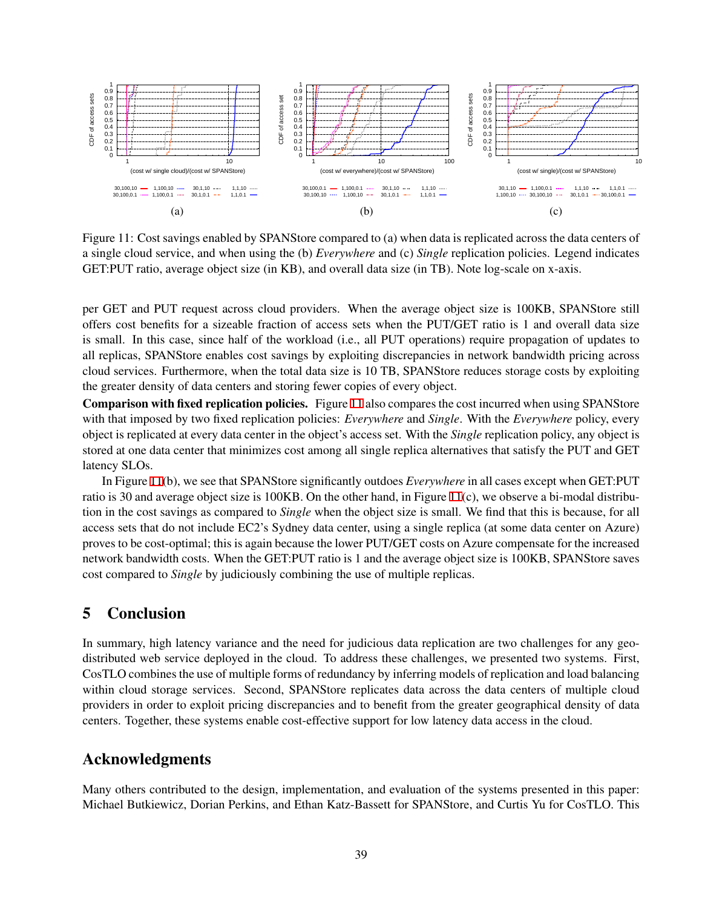<span id="page-13-0"></span>

Figure 11: Cost savings enabled by SPANStore compared to (a) when data is replicated across the data centers of a single cloud service, and when using the (b) *Everywhere* and (c) *Single* replication policies. Legend indicates GET:PUT ratio, average object size (in KB), and overall data size (in TB). Note log-scale on x-axis.

per GET and PUT request across cloud providers. When the average object size is 100KB, SPANStore still offers cost benefits for a sizeable fraction of access sets when the PUT/GET ratio is 1 and overall data size is small. In this case, since half of the workload (i.e., all PUT operations) require propagation of updates to all replicas, SPANStore enables cost savings by exploiting discrepancies in network bandwidth pricing across cloud services. Furthermore, when the total data size is 10 TB, SPANStore reduces storage costs by exploiting the greater density of data centers and storing fewer copies of every object.

Comparison with fixed replication policies. Figure [11](#page-13-0) also compares the cost incurred when using SPANStore with that imposed by two fixed replication policies: *Everywhere* and *Single*. With the *Everywhere* policy, every object is replicated at every data center in the object's access set. With the *Single* replication policy, any object is stored at one data center that minimizes cost among all single replica alternatives that satisfy the PUT and GET latency SLOs.

In Figure [11\(](#page-13-0)b), we see that SPANStore significantly outdoes *Everywhere* in all cases except when GET:PUT ratio is 30 and average object size is 100KB. On the other hand, in Figure [11](#page-13-0)(c), we observe a bi-modal distribution in the cost savings as compared to *Single* when the object size is small. We find that this is because, for all access sets that do not include EC2's Sydney data center, using a single replica (at some data center on Azure) proves to be cost-optimal; this is again because the lower PUT/GET costs on Azure compensate for the increased network bandwidth costs. When the GET:PUT ratio is 1 and the average object size is 100KB, SPANStore saves cost compared to *Single* by judiciously combining the use of multiple replicas.

# 5 Conclusion

In summary, high latency variance and the need for judicious data replication are two challenges for any geodistributed web service deployed in the cloud. To address these challenges, we presented two systems. First, CosTLO combines the use of multiple forms of redundancy by inferring models of replication and load balancing within cloud storage services. Second, SPANStore replicates data across the data centers of multiple cloud providers in order to exploit pricing discrepancies and to benefit from the greater geographical density of data centers. Together, these systems enable cost-effective support for low latency data access in the cloud.

# Acknowledgments

Many others contributed to the design, implementation, and evaluation of the systems presented in this paper: Michael Butkiewicz, Dorian Perkins, and Ethan Katz-Bassett for SPANStore, and Curtis Yu for CosTLO. This